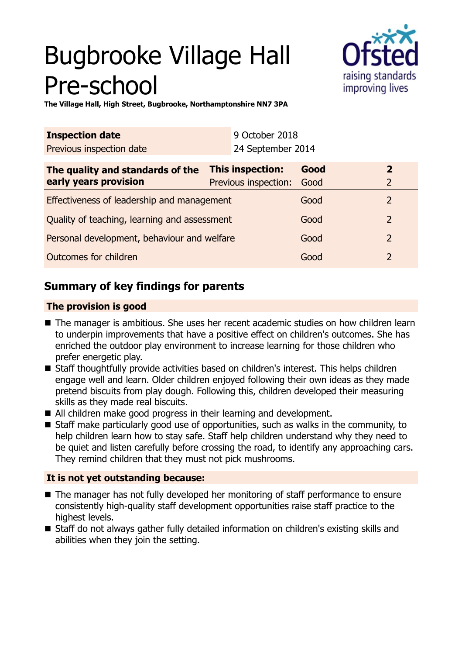# Bugbrooke Village Hall Pre-school



**The Village Hall, High Street, Bugbrooke, Northamptonshire NN7 3PA**

| <b>Inspection date</b>           |  | 9 October 2018            |      |                         |
|----------------------------------|--|---------------------------|------|-------------------------|
| Previous inspection date         |  | 24 September 2014         |      |                         |
| The quality and standards of the |  | <b>This inspection:</b>   | Good | $\overline{\mathbf{z}}$ |
| early years provision            |  | Previous inspection: Good |      | $\mathcal{L}$           |

| Effectiveness of leadership and management   | Good |               |
|----------------------------------------------|------|---------------|
| Quality of teaching, learning and assessment | Good | $\mathcal{P}$ |
| Personal development, behaviour and welfare  | Good | $\mathcal{L}$ |
| Outcomes for children                        | Good |               |

# **Summary of key findings for parents**

## **The provision is good**

- The manager is ambitious. She uses her recent academic studies on how children learn to underpin improvements that have a positive effect on children's outcomes. She has enriched the outdoor play environment to increase learning for those children who prefer energetic play.
- Staff thoughtfully provide activities based on children's interest. This helps children engage well and learn. Older children enjoyed following their own ideas as they made pretend biscuits from play dough. Following this, children developed their measuring skills as they made real biscuits.
- All children make good progress in their learning and development.
- $\blacksquare$  Staff make particularly good use of opportunities, such as walks in the community, to help children learn how to stay safe. Staff help children understand why they need to be quiet and listen carefully before crossing the road, to identify any approaching cars. They remind children that they must not pick mushrooms.

## **It is not yet outstanding because:**

- $\blacksquare$  The manager has not fully developed her monitoring of staff performance to ensure consistently high-quality staff development opportunities raise staff practice to the highest levels.
- Staff do not always gather fully detailed information on children's existing skills and abilities when they join the setting.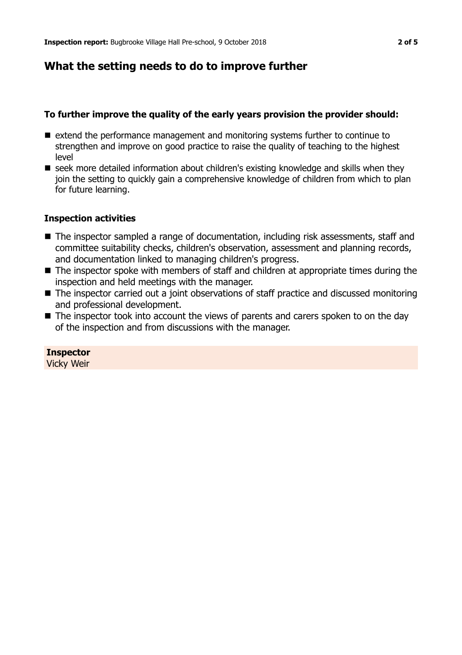## **What the setting needs to do to improve further**

#### **To further improve the quality of the early years provision the provider should:**

- $\blacksquare$  extend the performance management and monitoring systems further to continue to strengthen and improve on good practice to raise the quality of teaching to the highest level
- $\blacksquare$  seek more detailed information about children's existing knowledge and skills when they join the setting to quickly gain a comprehensive knowledge of children from which to plan for future learning.

#### **Inspection activities**

- The inspector sampled a range of documentation, including risk assessments, staff and committee suitability checks, children's observation, assessment and planning records, and documentation linked to managing children's progress.
- $\blacksquare$  The inspector spoke with members of staff and children at appropriate times during the inspection and held meetings with the manager.
- $\blacksquare$  The inspector carried out a joint observations of staff practice and discussed monitoring and professional development.
- $\blacksquare$  The inspector took into account the views of parents and carers spoken to on the day of the inspection and from discussions with the manager.

**Inspector** Vicky Weir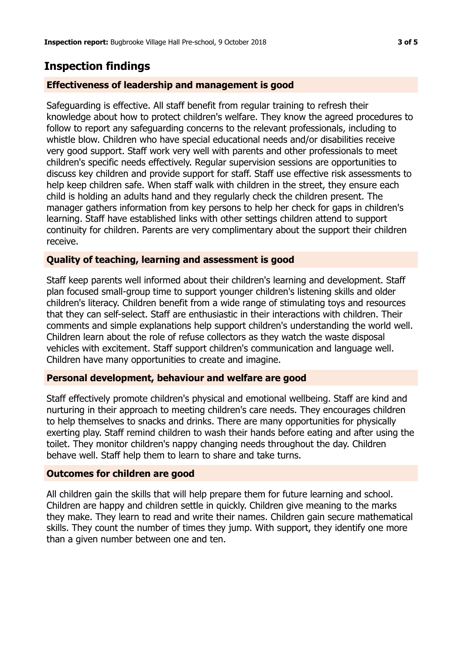## **Inspection findings**

## **Effectiveness of leadership and management is good**

Safeguarding is effective. All staff benefit from regular training to refresh their knowledge about how to protect children's welfare. They know the agreed procedures to follow to report any safeguarding concerns to the relevant professionals, including to whistle blow. Children who have special educational needs and/or disabilities receive very good support. Staff work very well with parents and other professionals to meet children's specific needs effectively. Regular supervision sessions are opportunities to discuss key children and provide support for staff. Staff use effective risk assessments to help keep children safe. When staff walk with children in the street, they ensure each child is holding an adults hand and they regularly check the children present. The manager gathers information from key persons to help her check for gaps in children's learning. Staff have established links with other settings children attend to support continuity for children. Parents are very complimentary about the support their children receive.

## **Quality of teaching, learning and assessment is good**

Staff keep parents well informed about their children's learning and development. Staff plan focused small-group time to support younger children's listening skills and older children's literacy. Children benefit from a wide range of stimulating toys and resources that they can self-select. Staff are enthusiastic in their interactions with children. Their comments and simple explanations help support children's understanding the world well. Children learn about the role of refuse collectors as they watch the waste disposal vehicles with excitement. Staff support children's communication and language well. Children have many opportunities to create and imagine.

## **Personal development, behaviour and welfare are good**

Staff effectively promote children's physical and emotional wellbeing. Staff are kind and nurturing in their approach to meeting children's care needs. They encourages children to help themselves to snacks and drinks. There are many opportunities for physically exerting play. Staff remind children to wash their hands before eating and after using the toilet. They monitor children's nappy changing needs throughout the day. Children behave well. Staff help them to learn to share and take turns.

## **Outcomes for children are good**

All children gain the skills that will help prepare them for future learning and school. Children are happy and children settle in quickly. Children give meaning to the marks they make. They learn to read and write their names. Children gain secure mathematical skills. They count the number of times they jump. With support, they identify one more than a given number between one and ten.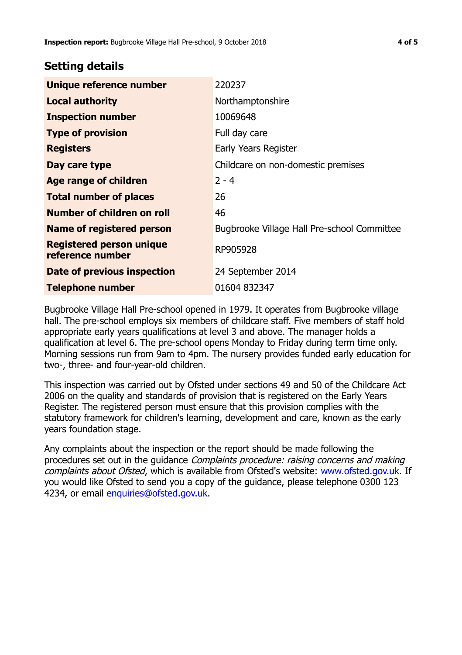## **Setting details**

| Unique reference number                             | 220237                                      |  |  |
|-----------------------------------------------------|---------------------------------------------|--|--|
| <b>Local authority</b>                              | Northamptonshire                            |  |  |
| <b>Inspection number</b>                            | 10069648                                    |  |  |
| <b>Type of provision</b>                            | Full day care                               |  |  |
| <b>Registers</b>                                    | Early Years Register                        |  |  |
| Day care type                                       | Childcare on non-domestic premises          |  |  |
| <b>Age range of children</b>                        | $2 - 4$                                     |  |  |
| <b>Total number of places</b>                       | 26                                          |  |  |
| Number of children on roll                          | 46                                          |  |  |
| <b>Name of registered person</b>                    | Bugbrooke Village Hall Pre-school Committee |  |  |
| <b>Registered person unique</b><br>reference number | RP905928                                    |  |  |
| Date of previous inspection                         | 24 September 2014                           |  |  |
| <b>Telephone number</b>                             | 01604 832347                                |  |  |

Bugbrooke Village Hall Pre-school opened in 1979. It operates from Bugbrooke village hall. The pre-school employs six members of childcare staff. Five members of staff hold appropriate early years qualifications at level 3 and above. The manager holds a qualification at level 6. The pre-school opens Monday to Friday during term time only. Morning sessions run from 9am to 4pm. The nursery provides funded early education for two-, three- and four-year-old children.

This inspection was carried out by Ofsted under sections 49 and 50 of the Childcare Act 2006 on the quality and standards of provision that is registered on the Early Years Register. The registered person must ensure that this provision complies with the statutory framework for children's learning, development and care, known as the early years foundation stage.

Any complaints about the inspection or the report should be made following the procedures set out in the guidance Complaints procedure: raising concerns and making complaints about Ofsted, which is available from Ofsted's website: www.ofsted.gov.uk. If you would like Ofsted to send you a copy of the guidance, please telephone 0300 123 4234, or email [enquiries@ofsted.gov.uk.](mailto:enquiries@ofsted.gov.uk)